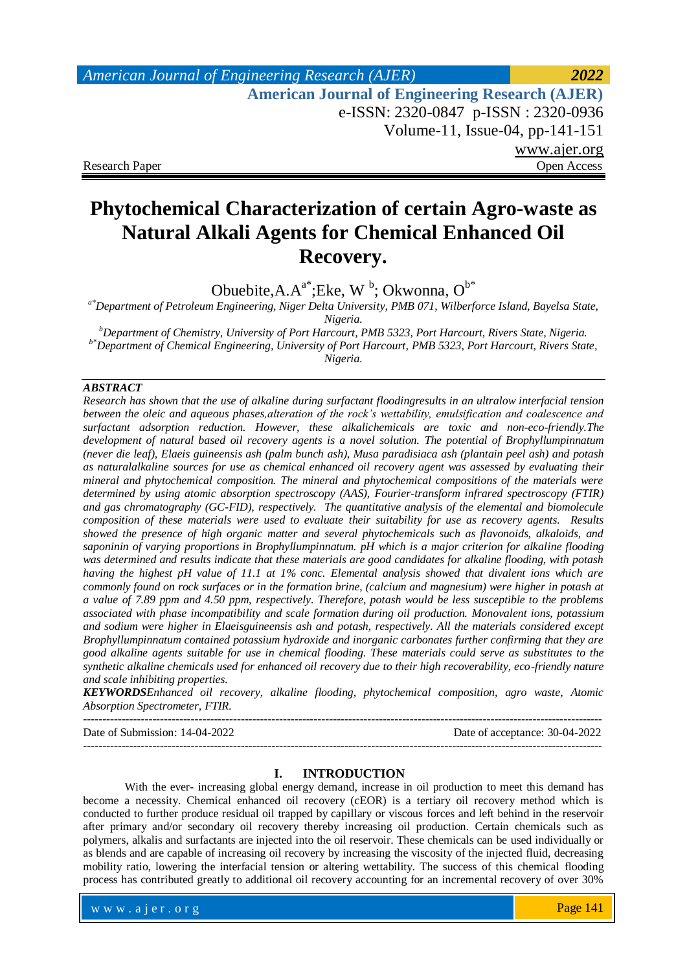# *American Journal of Engineering Research (AJER) 2022*  **American Journal of Engineering Research (AJER)** e-ISSN: 2320-0847 p-ISSN : 2320-0936 Volume-11, Issue-04, pp-141-151 www.ajer.org Research Paper **Open Access** Open Access **Open Access**

# **Phytochemical Characterization of certain Agro-waste as Natural Alkali Agents for Chemical Enhanced Oil Recovery.**

Obuebite, A. $A^{a^*}$ ; Eke, W<sup>b</sup>; Okwonna, O<sup>b\*</sup>

*a\*Department of Petroleum Engineering, Niger Delta University, PMB 071, Wilberforce Island, Bayelsa State, Nigeria.*

*<sup>b</sup>Department of Chemistry, University of Port Harcourt, PMB 5323, Port Harcourt, Rivers State, Nigeria. b\*Department of Chemical Engineering, University of Port Harcourt, PMB 5323, Port Harcourt, Rivers State, Nigeria.*

# *ABSTRACT*

*Research has shown that the use of alkaline during surfactant floodingresults in an ultralow interfacial tension between the oleic and aqueous phases,alteration of the rock's wettability, emulsification and coalescence and surfactant adsorption reduction. However, these alkalichemicals are toxic and non-eco-friendly.The development of natural based oil recovery agents is a novel solution. The potential of Brophyllumpinnatum (never die leaf), Elaeis guineensis ash (palm bunch ash), Musa paradisiaca ash (plantain peel ash) and potash as naturalalkaline sources for use as chemical enhanced oil recovery agent was assessed by evaluating their mineral and phytochemical composition. The mineral and phytochemical compositions of the materials were determined by using atomic absorption spectroscopy (AAS), Fourier-transform infrared spectroscopy (FTIR) and gas chromatography (GC-FID), respectively. The quantitative analysis of the elemental and biomolecule composition of these materials were used to evaluate their suitability for use as recovery agents. Results showed the presence of high organic matter and several phytochemicals such as flavonoids, alkaloids, and saponinin of varying proportions in Brophyllumpinnatum. pH which is a major criterion for alkaline flooding was determined and results indicate that these materials are good candidates for alkaline flooding, with potash having the highest pH value of 11.1 at 1% conc. Elemental analysis showed that divalent ions which are commonly found on rock surfaces or in the formation brine, (calcium and magnesium) were higher in potash at a value of 7.89 ppm and 4.50 ppm, respectively. Therefore, potash would be less susceptible to the problems associated with phase incompatibility and scale formation during oil production. Monovalent ions, potassium and sodium were higher in Elaeisguineensis ash and potash, respectively. All the materials considered except Brophyllumpinnatum contained potassium hydroxide and inorganic carbonates further confirming that they are good alkaline agents suitable for use in chemical flooding. These materials could serve as substitutes to the synthetic alkaline chemicals used for enhanced oil recovery due to their high recoverability, eco-friendly nature and scale inhibiting properties.*

*KEYWORDSEnhanced oil recovery, alkaline flooding, phytochemical composition, agro waste, Atomic Absorption Spectrometer, FTIR.*

--------------------------------------------------------------------------------------------------------------------------------------- Date of Submission: 14-04-2022 Date of acceptance: 30-04-2022 ---------------------------------------------------------------------------------------------------------------------------------------

### **I. INTRODUCTION**

With the ever- increasing global energy demand, increase in oil production to meet this demand has become a necessity. Chemical enhanced oil recovery (cEOR) is a tertiary oil recovery method which is conducted to further produce residual oil trapped by capillary or viscous forces and left behind in the reservoir after primary and/or secondary oil recovery thereby increasing oil production. Certain chemicals such as polymers, alkalis and surfactants are injected into the oil reservoir. These chemicals can be used individually or as blends and are capable of increasing oil recovery by increasing the viscosity of the injected fluid, decreasing mobility ratio, lowering the interfacial tension or altering wettability. The success of this chemical flooding process has contributed greatly to additional oil recovery accounting for an incremental recovery of over 30%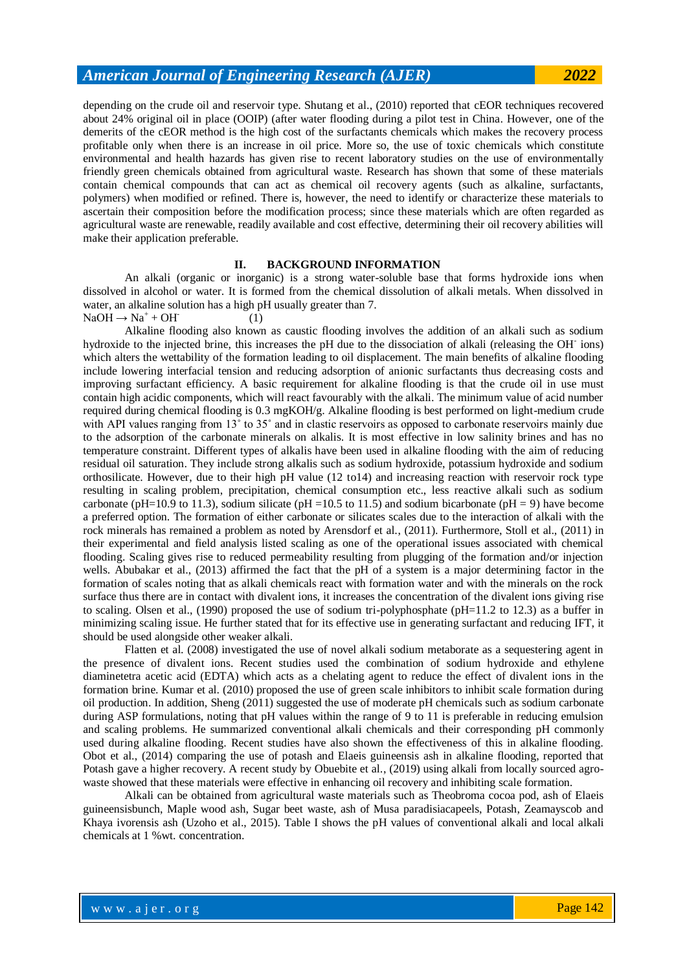depending on the crude oil and reservoir type. Shutang et al., (2010) reported that cEOR techniques recovered about 24% original oil in place (OOIP) (after water flooding during a pilot test in China. However, one of the demerits of the cEOR method is the high cost of the surfactants chemicals which makes the recovery process profitable only when there is an increase in oil price. More so, the use of toxic chemicals which constitute environmental and health hazards has given rise to recent laboratory studies on the use of environmentally friendly green chemicals obtained from agricultural waste. Research has shown that some of these materials contain chemical compounds that can act as chemical oil recovery agents (such as alkaline, surfactants, polymers) when modified or refined. There is, however, the need to identify or characterize these materials to ascertain their composition before the modification process; since these materials which are often regarded as agricultural waste are renewable, readily available and cost effective, determining their oil recovery abilities will make their application preferable.

#### **II. BACKGROUND INFORMATION**

An alkali (organic or inorganic) is a strong water-soluble base that forms hydroxide ions when dissolved in alcohol or water. It is formed from the chemical dissolution of alkali metals. When dissolved in water, an alkaline solution has a high pH usually greater than 7. (1)

 $NaOH \rightarrow Na^+ + OH^-$ 

Alkaline flooding also known as caustic flooding involves the addition of an alkali such as sodium hydroxide to the injected brine, this increases the pH due to the dissociation of alkali (releasing the OH-ions) which alters the wettability of the formation leading to oil displacement. The main benefits of alkaline flooding include lowering interfacial tension and reducing adsorption of anionic surfactants thus decreasing costs and improving surfactant efficiency. A basic requirement for alkaline flooding is that the crude oil in use must contain high acidic components, which will react favourably with the alkali. The minimum value of acid number required during chemical flooding is 0.3 mgKOH/g. Alkaline flooding is best performed on light-medium crude with API values ranging from 13° to 35° and in clastic reservoirs as opposed to carbonate reservoirs mainly due to the adsorption of the carbonate minerals on alkalis. It is most effective in low salinity brines and has no temperature constraint. Different types of alkalis have been used in alkaline flooding with the aim of reducing residual oil saturation. They include strong alkalis such as sodium hydroxide, potassium hydroxide and sodium orthosilicate. However, due to their high pH value (12 to14) and increasing reaction with reservoir rock type resulting in scaling problem, precipitation, chemical consumption etc., less reactive alkali such as sodium carbonate (pH=10.9 to 11.3), sodium silicate (pH =10.5 to 11.5) and sodium bicarbonate (pH = 9) have become a preferred option. The formation of either carbonate or silicates scales due to the interaction of alkali with the rock minerals has remained a problem as noted by Arensdorf et al., (2011). Furthermore, Stoll et al., (2011) in their experimental and field analysis listed scaling as one of the operational issues associated with chemical flooding. Scaling gives rise to reduced permeability resulting from plugging of the formation and/or injection wells. Abubakar et al., (2013) affirmed the fact that the pH of a system is a major determining factor in the formation of scales noting that as alkali chemicals react with formation water and with the minerals on the rock surface thus there are in contact with divalent ions, it increases the concentration of the divalent ions giving rise to scaling. Olsen et al., (1990) proposed the use of sodium tri-polyphosphate (pH=11.2 to 12.3) as a buffer in minimizing scaling issue. He further stated that for its effective use in generating surfactant and reducing IFT, it should be used alongside other weaker alkali.

Flatten et al. (2008) investigated the use of novel alkali sodium metaborate as a sequestering agent in the presence of divalent ions. Recent studies used the combination of sodium hydroxide and ethylene diaminetetra acetic acid (EDTA) which acts as a chelating agent to reduce the effect of divalent ions in the formation brine. Kumar et al. (2010) proposed the use of green scale inhibitors to inhibit scale formation during oil production. In addition, Sheng (2011) suggested the use of moderate pH chemicals such as sodium carbonate during ASP formulations, noting that pH values within the range of 9 to 11 is preferable in reducing emulsion and scaling problems. He summarized conventional alkali chemicals and their corresponding pH commonly used during alkaline flooding. Recent studies have also shown the effectiveness of this in alkaline flooding. Obot et al., (2014) comparing the use of potash and Elaeis guineensis ash in alkaline flooding, reported that Potash gave a higher recovery. A recent study by Obuebite et al., (2019) using alkali from locally sourced agrowaste showed that these materials were effective in enhancing oil recovery and inhibiting scale formation.

Alkali can be obtained from agricultural waste materials such as Theobroma cocoa pod, ash of Elaeis guineensisbunch, Maple wood ash, Sugar beet waste, ash of Musa paradisiacapeels, Potash, Zeamayscob and Khaya ivorensis ash (Uzoho et al., 2015). Table I shows the pH values of conventional alkali and local alkali chemicals at 1 %wt. concentration.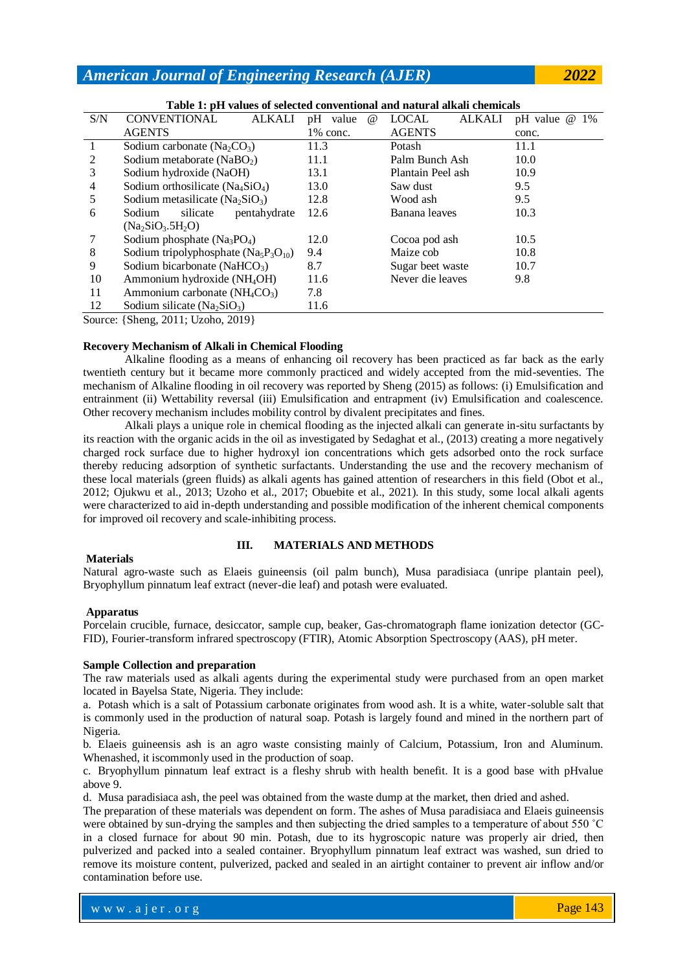|     | Table 1. pri values of selected conventional and natural alkali chemicals |              |      |             |          |                   |        |                     |  |    |
|-----|---------------------------------------------------------------------------|--------------|------|-------------|----------|-------------------|--------|---------------------|--|----|
| S/N | CONVENTIONAL                                                              | ALKALI       |      | pH value    | $\omega$ | LOCAL             | ALKALI | $pH$ value $\omega$ |  | 1% |
|     | <b>AGENTS</b>                                                             |              |      | $1\%$ conc. |          | <b>AGENTS</b>     |        | conc.               |  |    |
|     | Sodium carbonate $(Na_2CO_3)$                                             |              | 11.3 |             |          | Potash            |        | 11.1                |  |    |
| 2   | Sodium metaborate (NaBO <sub>2</sub> )                                    |              | 11.1 |             |          | Palm Bunch Ash    |        | 10.0                |  |    |
| 3   | Sodium hydroxide (NaOH)                                                   |              | 13.1 |             |          | Plantain Peel ash |        | 10.9                |  |    |
| 4   | Sodium orthosilicate $(Na_4SiO_4)$                                        |              | 13.0 |             |          | Saw dust          |        | 9.5                 |  |    |
| 5   | Sodium metasilicate (Na <sub>2</sub> SiO <sub>3</sub> )                   |              | 12.8 |             |          | Wood ash          |        | 9.5                 |  |    |
| 6   | Sodium<br>silicate                                                        | pentahydrate | 12.6 |             |          | Banana leaves     |        | 10.3                |  |    |
|     | $(Na_2SiO_3.5H_2O)$                                                       |              |      |             |          |                   |        |                     |  |    |
|     | Sodium phosphate $(Na_3PO_4)$                                             |              | 12.0 |             |          | Cocoa pod ash     |        | 10.5                |  |    |
| 8   | Sodium tripolyphosphate $(Na_5P_3O_{10})$                                 |              | 9.4  |             |          | Maize cob         |        | 10.8                |  |    |
| 9   | Sodium bicarbonate (NaHCO <sub>3</sub> )                                  |              | 8.7  |             |          | Sugar beet waste  |        | 10.7                |  |    |
| 10  | Ammonium hydroxide (NH <sub>4</sub> OH)                                   |              | 11.6 |             |          | Never die leaves  |        | 9.8                 |  |    |
| 11  | Ammonium carbonate $(NH_4CO_3)$                                           |              | 7.8  |             |          |                   |        |                     |  |    |
| 12  | Sodium silicate ( $Na2SiO3$ )                                             |              | 11.6 |             |          |                   |        |                     |  |    |
|     |                                                                           |              |      |             |          |                   |        |                     |  |    |

**Table 1: pH values of selected conventional and natural alkali chemicals**

Source: {Sheng, 2011; Uzoho, 2019}

# **Recovery Mechanism of Alkali in Chemical Flooding**

Alkaline flooding as a means of enhancing oil recovery has been practiced as far back as the early twentieth century but it became more commonly practiced and widely accepted from the mid-seventies. The mechanism of Alkaline flooding in oil recovery was reported by Sheng (2015) as follows: (i) Emulsification and entrainment (ii) Wettability reversal (iii) Emulsification and entrapment (iv) Emulsification and coalescence. Other recovery mechanism includes mobility control by divalent precipitates and fines.

Alkali plays a unique role in chemical flooding as the injected alkali can generate in-situ surfactants by its reaction with the organic acids in the oil as investigated by Sedaghat et al., (2013) creating a more negatively charged rock surface due to higher hydroxyl ion concentrations which gets adsorbed onto the rock surface thereby reducing adsorption of synthetic surfactants. Understanding the use and the recovery mechanism of these local materials (green fluids) as alkali agents has gained attention of researchers in this field (Obot et al., 2012; Ojukwu et al., 2013; Uzoho et al., 2017; Obuebite et al., 2021). In this study, some local alkali agents were characterized to aid in-depth understanding and possible modification of the inherent chemical components for improved oil recovery and scale-inhibiting process.

# **III. MATERIALS AND METHODS**

### **Materials**

Natural agro-waste such as Elaeis guineensis (oil palm bunch), Musa paradisiaca (unripe plantain peel), Bryophyllum pinnatum leaf extract (never-die leaf) and potash were evaluated.

### **Apparatus**

Porcelain crucible, furnace, desiccator, sample cup, beaker, Gas-chromatograph flame ionization detector (GC-FID), Fourier-transform infrared spectroscopy (FTIR), Atomic Absorption Spectroscopy (AAS), pH meter.

## **Sample Collection and preparation**

The raw materials used as alkali agents during the experimental study were purchased from an open market located in Bayelsa State, Nigeria. They include:

a. Potash which is a salt of Potassium carbonate originates from wood ash. It is a white, water-soluble salt that is commonly used in the production of natural soap. Potash is largely found and mined in the northern part of Nigeria.

b. Elaeis guineensis ash is an agro waste consisting mainly of Calcium, Potassium, Iron and Aluminum. Whenashed, it iscommonly used in the production of soap.

c. Bryophyllum pinnatum leaf extract is a fleshy shrub with health benefit. It is a good base with pHvalue above 9.

d. Musa paradisiaca ash, the peel was obtained from the waste dump at the market, then dried and ashed.

The preparation of these materials was dependent on form. The ashes of Musa paradisiaca and Elaeis guineensis were obtained by sun-drying the samples and then subjecting the dried samples to a temperature of about 550 ˚C in a closed furnace for about 90 min. Potash, due to its hygroscopic nature was properly air dried, then pulverized and packed into a sealed container. Bryophyllum pinnatum leaf extract was washed, sun dried to remove its moisture content, pulverized, packed and sealed in an airtight container to prevent air inflow and/or contamination before use.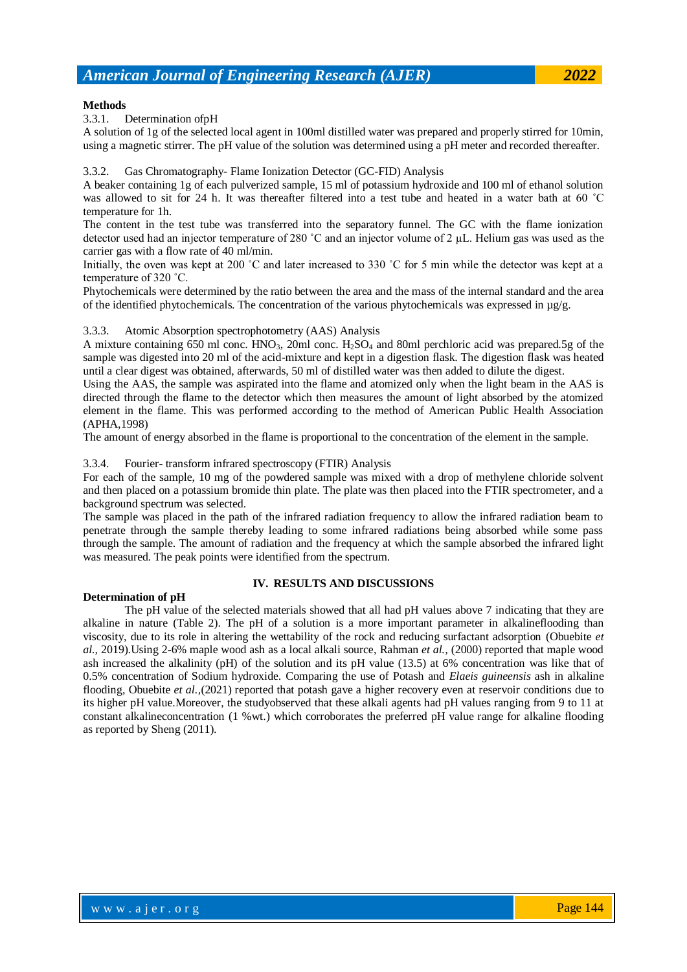## **Methods**

3.3.1. Determination ofpH

A solution of 1g of the selected local agent in 100ml distilled water was prepared and properly stirred for 10min, using a magnetic stirrer. The pH value of the solution was determined using a pH meter and recorded thereafter.

### Gas Chromatography- Flame Ionization Detector (GC-FID) Analysis

A beaker containing 1g of each pulverized sample, 15 ml of potassium hydroxide and 100 ml of ethanol solution was allowed to sit for 24 h. It was thereafter filtered into a test tube and heated in a water bath at 60 ˚C temperature for 1h.

The content in the test tube was transferred into the separatory funnel. The GC with the flame ionization detector used had an injector temperature of 280 ˚C and an injector volume of 2 µL. Helium gas was used as the carrier gas with a flow rate of 40 ml/min.

Initially, the oven was kept at 200 °C and later increased to 330 °C for 5 min while the detector was kept at a temperature of 320 ˚C.

Phytochemicals were determined by the ratio between the area and the mass of the internal standard and the area of the identified phytochemicals. The concentration of the various phytochemicals was expressed in  $\mu$ g/g.

### 3.3.3. Atomic Absorption spectrophotometry (AAS) Analysis

A mixture containing 650 ml conc.  $HNO<sub>3</sub>$ , 20ml conc.  $H<sub>2</sub>SO<sub>4</sub>$  and 80ml perchloric acid was prepared.5g of the sample was digested into 20 ml of the acid-mixture and kept in a digestion flask. The digestion flask was heated until a clear digest was obtained, afterwards, 50 ml of distilled water was then added to dilute the digest.

Using the AAS, the sample was aspirated into the flame and atomized only when the light beam in the AAS is directed through the flame to the detector which then measures the amount of light absorbed by the atomized element in the flame. This was performed according to the method of American Public Health Association (APHA,1998)

The amount of energy absorbed in the flame is proportional to the concentration of the element in the sample.

# 3.3.4. Fourier- transform infrared spectroscopy (FTIR) Analysis

For each of the sample, 10 mg of the powdered sample was mixed with a drop of methylene chloride solvent and then placed on a potassium bromide thin plate. The plate was then placed into the FTIR spectrometer, and a background spectrum was selected.

The sample was placed in the path of the infrared radiation frequency to allow the infrared radiation beam to penetrate through the sample thereby leading to some infrared radiations being absorbed while some pass through the sample. The amount of radiation and the frequency at which the sample absorbed the infrared light was measured. The peak points were identified from the spectrum.

# **Determination of pH**

# **IV. RESULTS AND DISCUSSIONS**

The pH value of the selected materials showed that all had pH values above 7 indicating that they are alkaline in nature (Table 2). The pH of a solution is a more important parameter in alkalineflooding than viscosity, due to its role in altering the wettability of the rock and reducing surfactant adsorption (Obuebite *et al.,* 2019).Using 2-6% maple wood ash as a local alkali source, Rahman *et al.,* (2000) reported that maple wood ash increased the alkalinity (pH) of the solution and its pH value (13.5) at 6% concentration was like that of 0.5% concentration of Sodium hydroxide. Comparing the use of Potash and *Elaeis guineensis* ash in alkaline flooding, Obuebite *et al.,*(2021) reported that potash gave a higher recovery even at reservoir conditions due to its higher pH value.Moreover, the studyobserved that these alkali agents had pH values ranging from 9 to 11 at constant alkalineconcentration (1 %wt.) which corroborates the preferred pH value range for alkaline flooding as reported by Sheng (2011).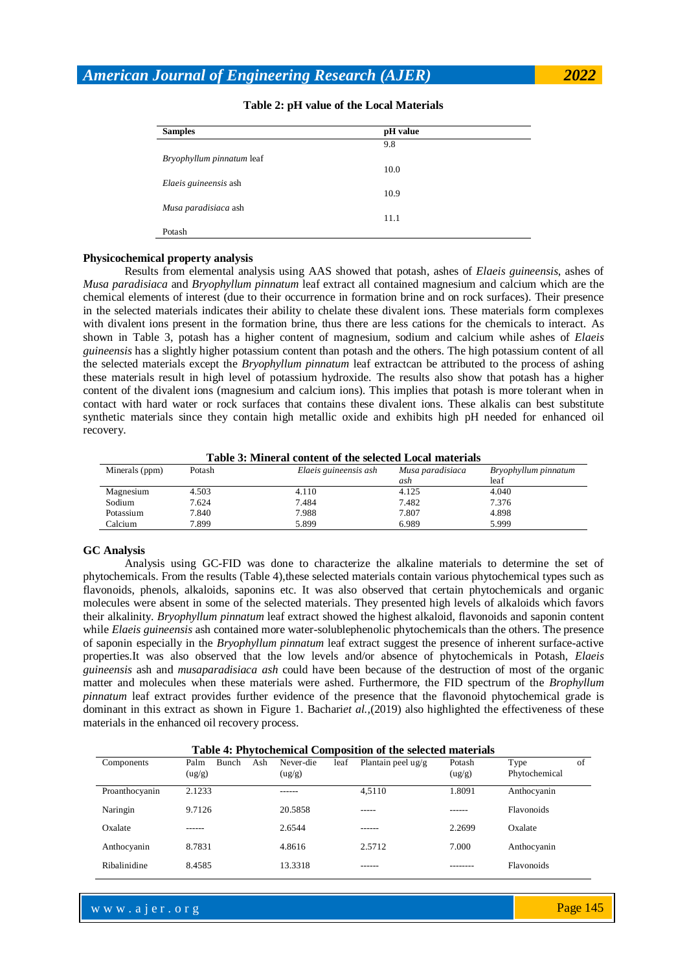| <b>Samples</b>            | pH value |
|---------------------------|----------|
|                           | 9.8      |
| Bryophyllum pinnatum leaf |          |
|                           | 10.0     |
| Elaeis guineensis ash     |          |
|                           | 10.9     |
| Musa paradisiaca ash      |          |
|                           | 11.1     |
| Potash                    |          |

### **Table 2: pH value of the Local Materials**

### **Physicochemical property analysis**

Results from elemental analysis using AAS showed that potash, ashes of *Elaeis guineensis*, ashes of *Musa paradisiaca* and *Bryophyllum pinnatum* leaf extract all contained magnesium and calcium which are the chemical elements of interest (due to their occurrence in formation brine and on rock surfaces). Their presence in the selected materials indicates their ability to chelate these divalent ions. These materials form complexes with divalent ions present in the formation brine, thus there are less cations for the chemicals to interact. As shown in Table 3, potash has a higher content of magnesium, sodium and calcium while ashes of *Elaeis guineensis* has a slightly higher potassium content than potash and the others. The high potassium content of all the selected materials except the *Bryophyllum pinnatum* leaf extractcan be attributed to the process of ashing these materials result in high level of potassium hydroxide. The results also show that potash has a higher content of the divalent ions (magnesium and calcium ions). This implies that potash is more tolerant when in contact with hard water or rock surfaces that contains these divalent ions. These alkalis can best substitute synthetic materials since they contain high metallic oxide and exhibits high pH needed for enhanced oil recovery.

**Table 3: Mineral content of the selected Local materials**

| Minerals (ppm) | Potash | Elaeis guineensis ash | Musa paradisiaca | Bryophyllum pinnatum |  |
|----------------|--------|-----------------------|------------------|----------------------|--|
|                |        |                       | ash              | leaf                 |  |
| Magnesium      | 4.503  | 4.110                 | 4.125            | 4.040                |  |
| Sodium         | 7.624  | 7.484                 | 7.482            | 7.376                |  |
| Potassium      | 7.840  | 7.988                 | 7.807            | 4.898                |  |
| Calcium        | 7.899  | 5.899                 | 6.989            | 5.999                |  |

#### **GC Analysis**

Analysis using GC-FID was done to characterize the alkaline materials to determine the set of phytochemicals. From the results (Table 4), these selected materials contain various phytochemical types such as flavonoids, phenols, alkaloids, saponins etc. It was also observed that certain phytochemicals and organic molecules were absent in some of the selected materials. They presented high levels of alkaloids which favors their alkalinity. *Bryophyllum pinnatum* leaf extract showed the highest alkaloid, flavonoids and saponin content while *Elaeis guineensis* ash contained more water-solublephenolic phytochemicals than the others. The presence of saponin especially in the *Bryophyllum pinnatum* leaf extract suggest the presence of inherent surface-active properties.It was also observed that the low levels and/or absence of phytochemicals in Potash, *Elaeis guineensis* ash and *musaparadisiaca ash* could have been because of the destruction of most of the organic matter and molecules when these materials were ashed. Furthermore, the FID spectrum of the *Brophyllum pinnatum* leaf extract provides further evidence of the presence that the flavonoid phytochemical grade is dominant in this extract as shown in Figure 1. Bachari*et al.,*(2019) also highlighted the effectiveness of these materials in the enhanced oil recovery process.

| <b>Table 4: Phytochemical Composition of the selected materials</b> |                                       |                             |                               |                  |                             |  |
|---------------------------------------------------------------------|---------------------------------------|-----------------------------|-------------------------------|------------------|-----------------------------|--|
| Components                                                          | Ash<br><b>Bunch</b><br>Palm<br>(ug/g) | leaf<br>Never-die<br>(ug/g) | Plantain peel $\frac{u g}{g}$ | Potash<br>(ug/g) | of<br>Type<br>Phytochemical |  |
| Proanthocyanin                                                      | 2.1233                                |                             | 4.5110                        | 1.8091           | Anthocyanin                 |  |
| Naringin                                                            | 9.7126                                | 20.5858                     | -----                         |                  | <b>Flavonoids</b>           |  |
| Oxalate                                                             |                                       | 2.6544                      |                               | 2.2699           | Oxalate                     |  |
| Anthocyanin                                                         | 8.7831                                | 4.8616                      | 2.5712                        | 7.000            | Anthocyanin                 |  |
| Ribalinidine                                                        | 8.4585                                | 13.3318                     |                               |                  | <b>Flavonoids</b>           |  |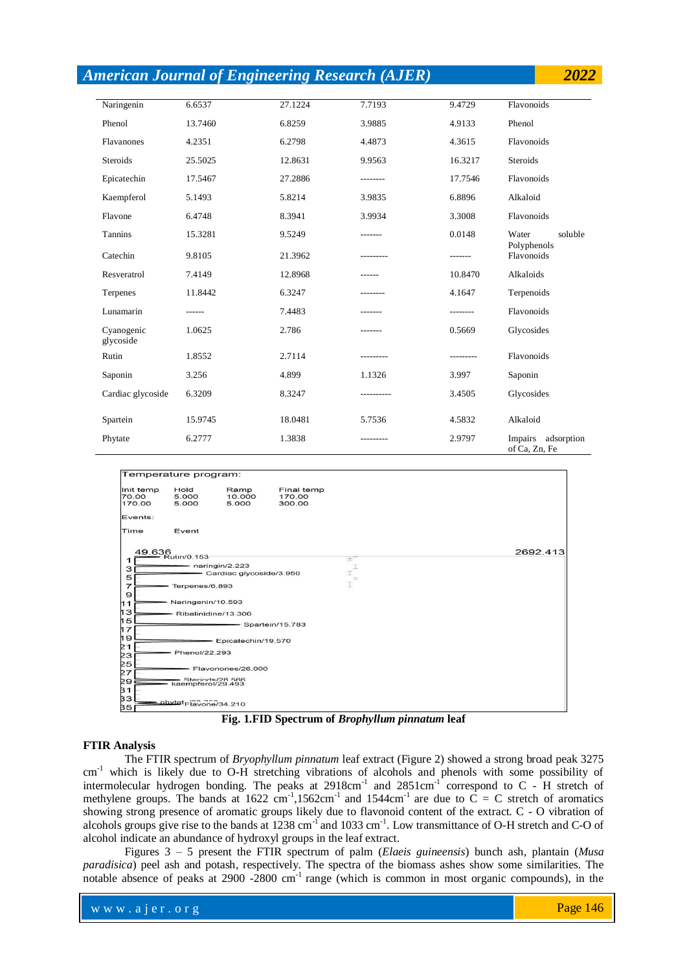|                         |         | <b>American Journal of Engineering Research (AJER)</b> |           |           | 2022                                |
|-------------------------|---------|--------------------------------------------------------|-----------|-----------|-------------------------------------|
|                         |         |                                                        |           |           |                                     |
| Naringenin              | 6.6537  | 27.1224                                                | 7.7193    | 9.4729    | Flavonoids                          |
| Phenol                  | 13.7460 | 6.8259                                                 | 3.9885    | 4.9133    | Phenol                              |
| Flavanones              | 4.2351  | 6.2798                                                 | 4.4873    | 4.3615    | Flavonoids                          |
| <b>Steroids</b>         | 25.5025 | 12.8631                                                | 9.9563    | 16.3217   | <b>Steroids</b>                     |
| Epicatechin             | 17.5467 | 27.2886                                                | --------  | 17.7546   | Flavonoids                          |
| Kaempferol              | 5.1493  | 5.8214                                                 | 3.9835    | 6.8896    | Alkaloid                            |
| Flavone                 | 6.4748  | 8.3941                                                 | 3.9934    | 3.3008    | Flavonoids                          |
| Tannins                 | 15.3281 | 9.5249                                                 |           | 0.0148    | Water<br>soluble                    |
| Catechin                | 9.8105  | 21.3962                                                |           | -------   | Polyphenols<br>Flavonoids           |
| Resveratrol             | 7.4149  | 12.8968                                                |           | 10.8470   | Alkaloids                           |
| Terpenes                | 11.8442 | 6.3247                                                 | --------  | 4.1647    | Terpenoids                          |
| Lunamarin               | ------  | 7.4483                                                 |           |           | Flavonoids                          |
| Cyanogenic<br>glycoside | 1.0625  | 2.786                                                  | -------   | 0.5669    | Glycosides                          |
| Rutin                   | 1.8552  | 2.7114                                                 | --------- | --------- | Flavonoids                          |
| Saponin                 | 3.256   | 4.899                                                  | 1.1326    | 3.997     | Saponin                             |
| Cardiac glycoside       | 6.3209  | 8.3247                                                 | --------- | 3.4505    | Glycosides                          |
| Spartein                | 15.9745 | 18.0481                                                | 5.7536    | 4.5832    | Alkaloid                            |
| Phytate                 | 6.2777  | 1.3838                                                 |           | 2.9797    | Impairs adsorption<br>of Ca, Zn, Fe |





### **FTIR Analysis**

The FTIR spectrum of *Bryophyllum pinnatum* leaf extract (Figure 2) showed a strong broad peak 3275 cm<sup>-1</sup> which is likely due to O-H stretching vibrations of alcohols and phenols with some possibility of intermolecular hydrogen bonding. The peaks at  $2918 \text{cm}^{-1}$  and  $2851 \text{cm}^{-1}$  correspond to C - H stretch of methylene groups. The bands at 1622 cm<sup>-1</sup>,1562cm<sup>-1</sup> and 1544cm<sup>-1</sup> are due to  $\overrightarrow{C} = C$  stretch of aromatics showing strong presence of aromatic groups likely due to flavonoid content of the extract. C - O vibration of alcohols groups give rise to the bands at  $1238 \text{ cm}^{-1}$  and  $1033 \text{ cm}^{-1}$ . Low transmittance of O-H stretch and C-O of alcohol indicate an abundance of hydroxyl groups in the leaf extract.

Figures 3 – 5 present the FTIR spectrum of palm (*Elaeis guineensis*) bunch ash, plantain (*Musa paradisica*) peel ash and potash, respectively. The spectra of the biomass ashes show some similarities. The notable absence of peaks at 2900 -2800 cm<sup>-1</sup> range (which is common in most organic compounds), in the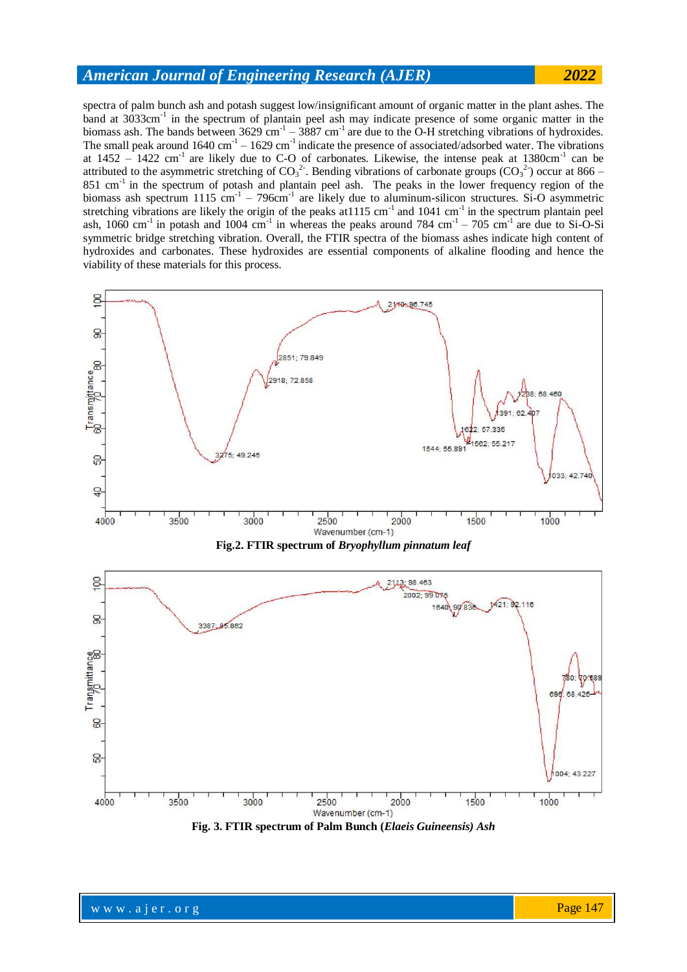spectra of palm bunch ash and potash suggest low/insignificant amount of organic matter in the plant ashes. The band at 3033cm<sup>-1</sup> in the spectrum of plantain peel ash may indicate presence of some organic matter in the biomass ash. The bands between  $3629 \text{ cm}^{-1} - 3887 \text{ cm}^{-1}$  are due to the O-H stretching vibrations of hydroxides. The small peak around  $1640 \text{ cm}^{-1} - 1629 \text{ cm}^{-1}$  indicate the presence of associated/adsorbed water. The vibrations at  $1452 - 1422$  cm<sup>-1</sup> are likely due to C-O of carbonates. Likewise, the intense peak at  $1380 \text{cm}^{-1}$  can be attributed to the asymmetric stretching of  $CO_3^2$ . Bending vibrations of carbonate groups  $(CO_3^2)$  occur at 866 – 851 cm<sup>-1</sup> in the spectrum of potash and plantain peel ash. The peaks in the lower frequency region of the biomass ash spectrum  $1115 \text{ cm}^{-1}$  – 796 $\text{cm}^{-1}$  are likely due to aluminum-silicon structures. Si-O asymmetric stretching vibrations are likely the origin of the peaks at  $1115 \text{ cm}^{-1}$  and  $1041 \text{ cm}^{-1}$  in the spectrum plantain peel ash, 1060 cm<sup>-1</sup> in potash and 1004 cm<sup>-1</sup> in whereas the peaks around 784 cm<sup>-1</sup> – 705 cm<sup>-1</sup> are due to Si-O-Si symmetric bridge stretching vibration. Overall, the FTIR spectra of the biomass ashes indicate high content of hydroxides and carbonates. These hydroxides are essential components of alkaline flooding and hence the viability of these materials for this process.



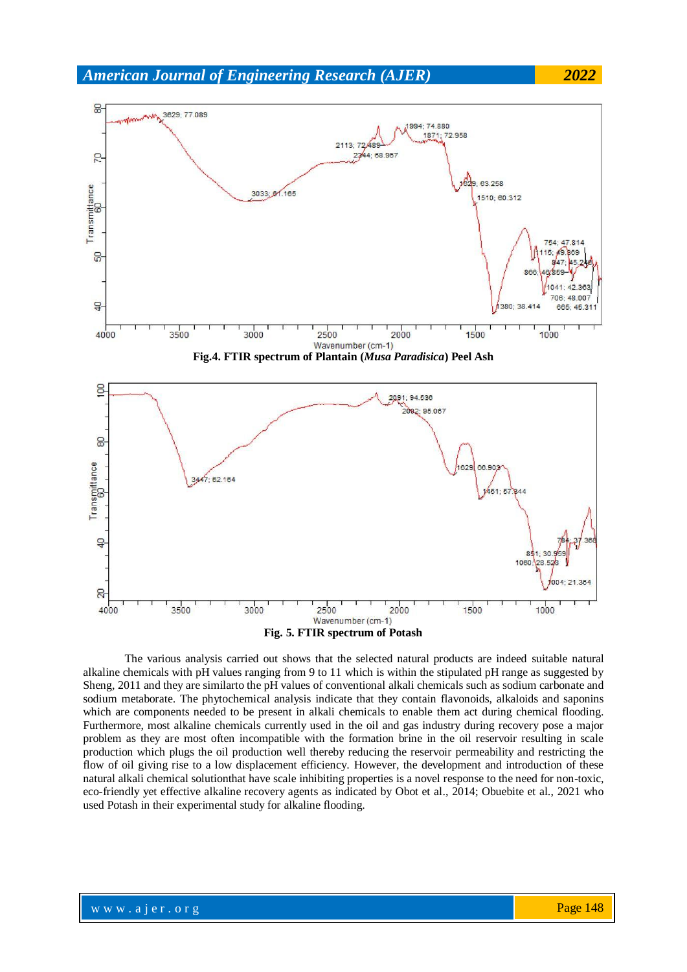

**Fig. 5. FTIR spectrum of Potash**

The various analysis carried out shows that the selected natural products are indeed suitable natural alkaline chemicals with pH values ranging from 9 to 11 which is within the stipulated pH range as suggested by Sheng, 2011 and they are similarto the pH values of conventional alkali chemicals such as sodium carbonate and sodium metaborate. The phytochemical analysis indicate that they contain flavonoids, alkaloids and saponins which are components needed to be present in alkali chemicals to enable them act during chemical flooding. Furthermore, most alkaline chemicals currently used in the oil and gas industry during recovery pose a major problem as they are most often incompatible with the formation brine in the oil reservoir resulting in scale production which plugs the oil production well thereby reducing the reservoir permeability and restricting the flow of oil giving rise to a low displacement efficiency. However, the development and introduction of these natural alkali chemical solutionthat have scale inhibiting properties is a novel response to the need for non-toxic, eco-friendly yet effective alkaline recovery agents as indicated by Obot et al., 2014; Obuebite et al., 2021 who used Potash in their experimental study for alkaline flooding.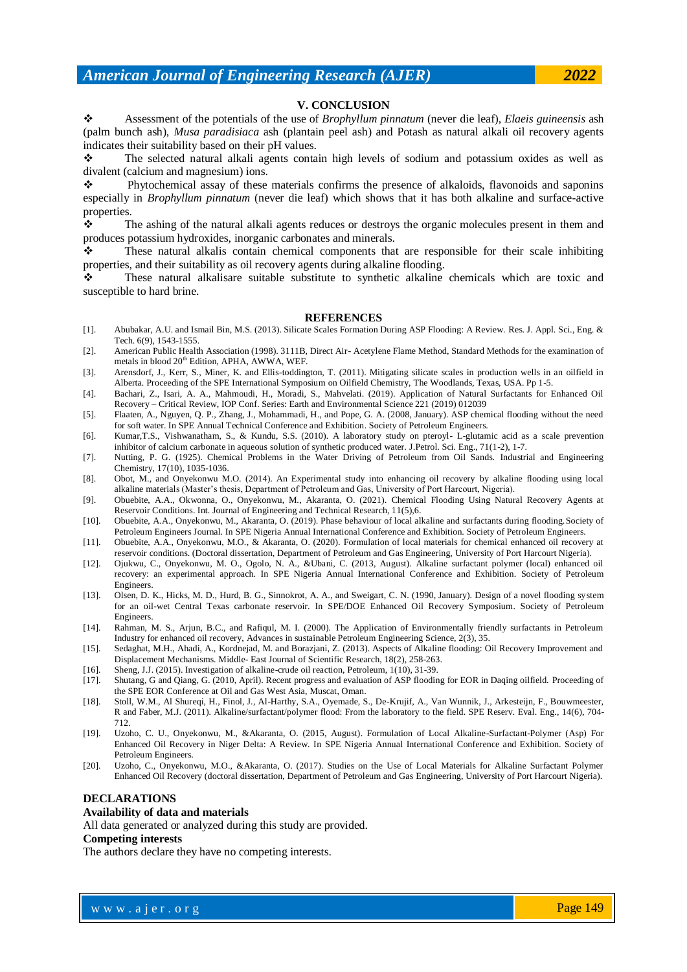### **V. CONCLUSION**

 Assessment of the potentials of the use of *Brophyllum pinnatum* (never die leaf), *Elaeis guineensis* ash (palm bunch ash), *Musa paradisiaca* ash (plantain peel ash) and Potash as natural alkali oil recovery agents indicates their suitability based on their pH values.

 The selected natural alkali agents contain high levels of sodium and potassium oxides as well as divalent (calcium and magnesium) ions.

 $\Diamond$  Phytochemical assay of these materials confirms the presence of alkaloids, flavonoids and saponins especially in *Brophyllum pinnatum* (never die leaf) which shows that it has both alkaline and surface-active properties.

The ashing of the natural alkali agents reduces or destroys the organic molecules present in them and produces potassium hydroxides, inorganic carbonates and minerals.

 These natural alkalis contain chemical components that are responsible for their scale inhibiting properties, and their suitability as oil recovery agents during alkaline flooding.

 These natural alkalisare suitable substitute to synthetic alkaline chemicals which are toxic and susceptible to hard brine.

#### **REFERENCES**

- [1]. Abubakar, A.U. and Ismail Bin, M.S. (2013). Silicate Scales Formation During ASP Flooding: A Review. Res. J. Appl. Sci., Eng. & Tech. 6(9), 1543-1555.
- [2]. American Public Health Association (1998). 3111B, Direct Air- Acetylene Flame Method, Standard Methods for the examination of metals in blood 20<sup>th</sup> Edition, APHA, AWWA, WEF.
- [3]. Arensdorf, J., Kerr, S., Miner, K. and Ellis-toddington, T. (2011). Mitigating silicate scales in production wells in an oilfield in Alberta. Proceeding of the SPE International Symposium on Oilfield Chemistry, The Woodlands, Texas, USA. Pp 1-5.
- [4]. Bachari, Z., Isari, A. A., Mahmoudi, H., Moradi, S., Mahvelati. (2019). Application of Natural Surfactants for Enhanced Oil Recovery – Critical Review, IOP Conf. Series: Earth and Environmental Science 221 (2019) 012039
- [5]. Flaaten, A., Nguyen, Q. P., Zhang, J., Mohammadi, H., and Pope, G. A. (2008, January). ASP chemical flooding without the need for soft water. In SPE Annual Technical Conference and Exhibition. Society of Petroleum Engineers.
- [6]. Kumar,T.S., Vishwanatham, S., & Kundu, S.S. (2010). A laboratory study on pteroyl- L-glutamic acid as a scale prevention inhibitor of calcium carbonate in aqueous solution of synthetic produced water. J.Petrol. Sci. Eng., 71(1-2), 1-7.
- [7]. Nutting, P. G. (1925). Chemical Problems in the Water Driving of Petroleum from Oil Sands. Industrial and Engineering Chemistry, 17(10), 1035-1036.
- [8]. Obot, M., and Onyekonwu M.O. (2014). An Experimental study into enhancing oil recovery by alkaline flooding using local alkaline materials (Master's thesis, Department of Petroleum and Gas, University of Port Harcourt, Nigeria).
- [9]. Obuebite, A.A., Okwonna, O., Onyekonwu, M., Akaranta, O. (2021). Chemical Flooding Using Natural Recovery Agents at Reservoir Conditions. Int. Journal of Engineering and Technical Research, 11(5),6.
- [10]. Obuebite, A.A., Onyekonwu, M., Akaranta, O. (2019). Phase behaviour of local alkaline and surfactants during flooding.Society of Petroleum Engineers Journal. In SPE Nigeria Annual International Conference and Exhibition. Society of Petroleum Engineers.
- [11]. Obuebite, A.A., Onyekonwu, M.O., & Akaranta, O. (2020). Formulation of local materials for chemical enhanced oil recovery at reservoir conditions. (Doctoral dissertation, Department of Petroleum and Gas Engineering, University of Port Harcourt Nigeria).
- [12]. Ojukwu, C., Onyekonwu, M. O., Ogolo, N. A., &Ubani, C. (2013, August). Alkaline surfactant polymer (local) enhanced oil recovery: an experimental approach. In SPE Nigeria Annual International Conference and Exhibition. Society of Petroleum Engineers.
- [13]. Olsen, D. K., Hicks, M. D., Hurd, B. G., Sinnokrot, A. A., and Sweigart, C. N. (1990, January). Design of a novel flooding system for an oil-wet Central Texas carbonate reservoir. In SPE/DOE Enhanced Oil Recovery Symposium. Society of Petroleum Engineers.
- [14]. Rahman, M. S., Arjun, B.C., and Rafiqul, M. I. (2000). The Application of Environmentally friendly surfactants in Petroleum Industry for enhanced oil recovery, Advances in sustainable Petroleum Engineering Science, 2(3), 35.
- [15]. Sedaghat, M.H., Ahadi, A., Kordnejad, M. and Borazjani, Z. (2013). Aspects of Alkaline flooding: Oil Recovery Improvement and Displacement Mechanisms. Middle- East Journal of Scientific Research, 18(2), 258-263.
- [16]. Sheng, J.J. (2015). Investigation of alkaline-crude oil reaction, Petroleum, 1(10), 31-39.
- [17]. Shutang, G and Qiang, G. (2010, April). Recent progress and evaluation of ASP flooding for EOR in Daqing oilfield. Proceeding of the SPE EOR Conference at Oil and Gas West Asia, Muscat, Oman.
- [18]. Stoll, W.M., Al Shureqi, H., Finol, J., Al-Harthy, S.A., Oyemade, S., De-Krujif, A., Van Wunnik, J., Arkesteijn, F., Bouwmeester, R and Faber, M.J. (2011). Alkaline/surfactant/polymer flood: From the laboratory to the field. SPE Reserv. Eval. Eng., 14(6), 704- 712.
- [19]. Uzoho, C. U., Onyekonwu, M., &Akaranta, O. (2015, August). Formulation of Local Alkaline-Surfactant-Polymer (Asp) For Enhanced Oil Recovery in Niger Delta: A Review. In SPE Nigeria Annual International Conference and Exhibition. Society of Petroleum Engineers.
- [20]. Uzoho, C., Onyekonwu, M.O., &Akaranta, O. (2017). Studies on the Use of Local Materials for Alkaline Surfactant Polymer Enhanced Oil Recovery (doctoral dissertation, Department of Petroleum and Gas Engineering, University of Port Harcourt Nigeria).

# **DECLARATIONS**

#### **Availability of data and materials**

All data generated or analyzed during this study are provided.

# **Competing interests**

The authors declare they have no competing interests.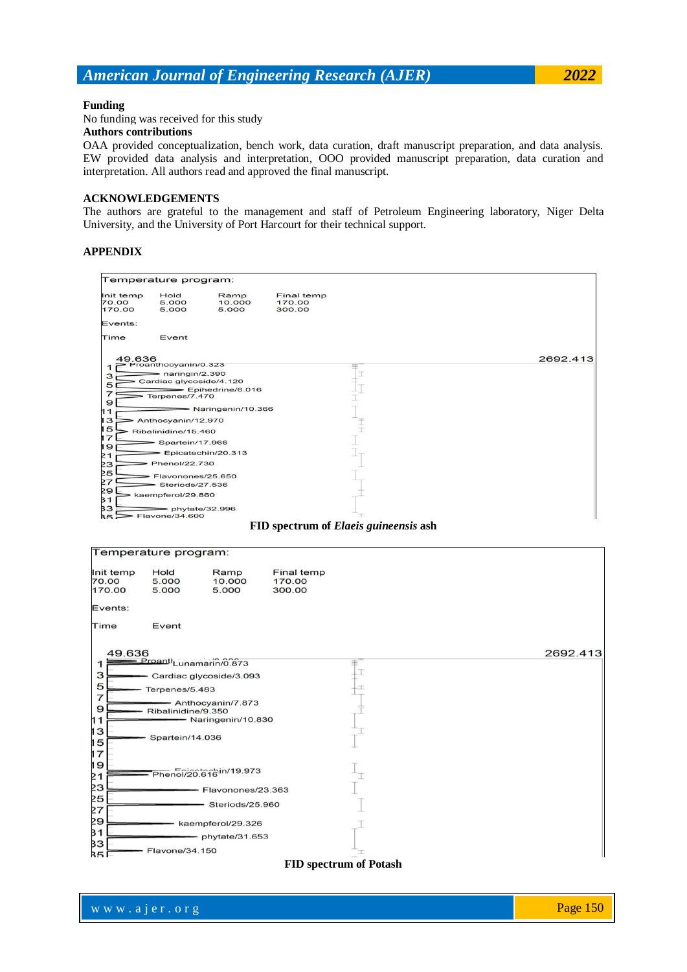### **Funding**

No funding was received for this study

# **Authors contributions**

OAA provided conceptualization, bench work, data curation, draft manuscript preparation, and data analysis. EW provided data analysis and interpretation, OOO provided manuscript preparation, data curation and interpretation. All authors read and approved the final manuscript.

# **ACKNOWLEDGEMENTS**

The authors are grateful to the management and staff of Petroleum Engineering laboratory, Niger Delta University, and the University of Port Harcourt for their technical support.

### **APPENDIX**



**FID spectrum of** *Elaeis guineensis* **ash**